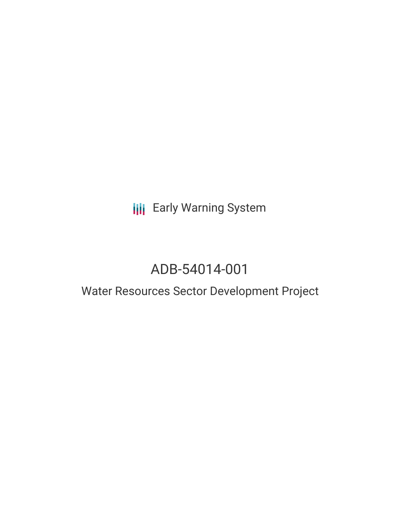**III** Early Warning System

# ADB-54014-001

## Water Resources Sector Development Project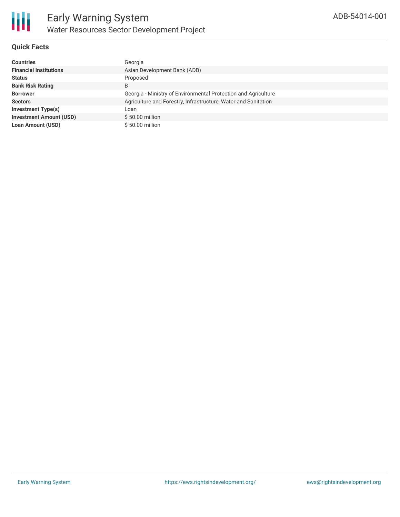

#### **Quick Facts**

| <b>Countries</b>               | Georgia                                                        |
|--------------------------------|----------------------------------------------------------------|
| <b>Financial Institutions</b>  | Asian Development Bank (ADB)                                   |
| <b>Status</b>                  | Proposed                                                       |
| <b>Bank Risk Rating</b>        | B                                                              |
| <b>Borrower</b>                | Georgia - Ministry of Environmental Protection and Agriculture |
| <b>Sectors</b>                 | Agriculture and Forestry, Infrastructure, Water and Sanitation |
| Investment Type(s)             | Loan                                                           |
| <b>Investment Amount (USD)</b> | $$50.00$ million                                               |
| <b>Loan Amount (USD)</b>       | \$50.00 million                                                |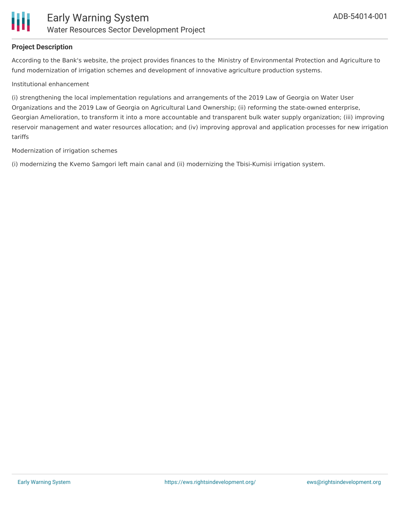

#### **Project Description**

According to the Bank's website, the project provides finances to the Ministry of Environmental Protection and Agriculture to fund modernization of irrigation schemes and development of innovative agriculture production systems.

#### Institutional enhancement

(i) strengthening the local implementation regulations and arrangements of the 2019 Law of Georgia on Water User Organizations and the 2019 Law of Georgia on Agricultural Land Ownership; (ii) reforming the state-owned enterprise, Georgian Amelioration, to transform it into a more accountable and transparent bulk water supply organization; (iii) improving reservoir management and water resources allocation; and (iv) improving approval and application processes for new irrigation tariffs

#### Modernization of irrigation schemes

(i) modernizing the Kvemo Samgori left main canal and (ii) modernizing the Tbisi-Kumisi irrigation system.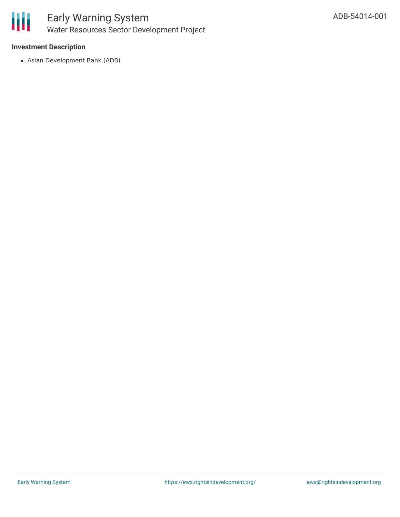

#### **Investment Description**

Asian Development Bank (ADB)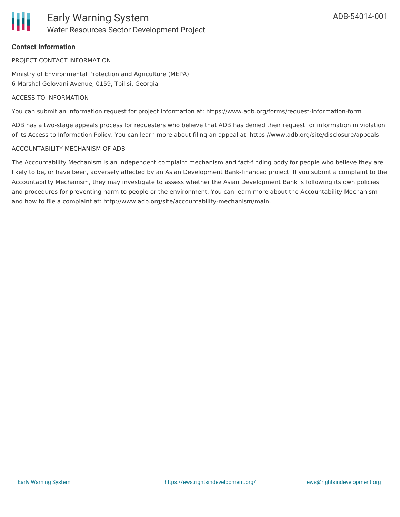#### **Contact Information**

PROJECT CONTACT INFORMATION

Ministry of Environmental Protection and Agriculture (MEPA) 6 Marshal Gelovani Avenue, 0159, Tbilisi, Georgia

#### ACCESS TO INFORMATION

You can submit an information request for project information at: https://www.adb.org/forms/request-information-form

ADB has a two-stage appeals process for requesters who believe that ADB has denied their request for information in violation of its Access to Information Policy. You can learn more about filing an appeal at: https://www.adb.org/site/disclosure/appeals

#### ACCOUNTABILITY MECHANISM OF ADB

The Accountability Mechanism is an independent complaint mechanism and fact-finding body for people who believe they are likely to be, or have been, adversely affected by an Asian Development Bank-financed project. If you submit a complaint to the Accountability Mechanism, they may investigate to assess whether the Asian Development Bank is following its own policies and procedures for preventing harm to people or the environment. You can learn more about the Accountability Mechanism and how to file a complaint at: http://www.adb.org/site/accountability-mechanism/main.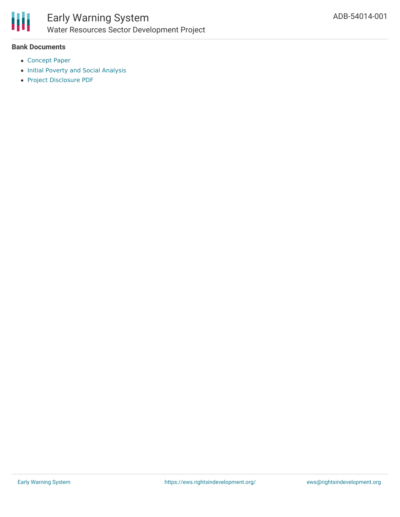

#### **Bank Documents**

- [Concept](https://www.adb.org/sites/default/files/project-documents/54014/54014-001-cp-en.pdf) Paper
	- Initial Poverty and Social [Analysis](https://www.adb.org/sites/default/files/project-documents/54014/54014-001-ipsa-en.pdf)
	- Project [Disclosure](https://www.adb.org/printpdf/projects/54014-001/main) PDF